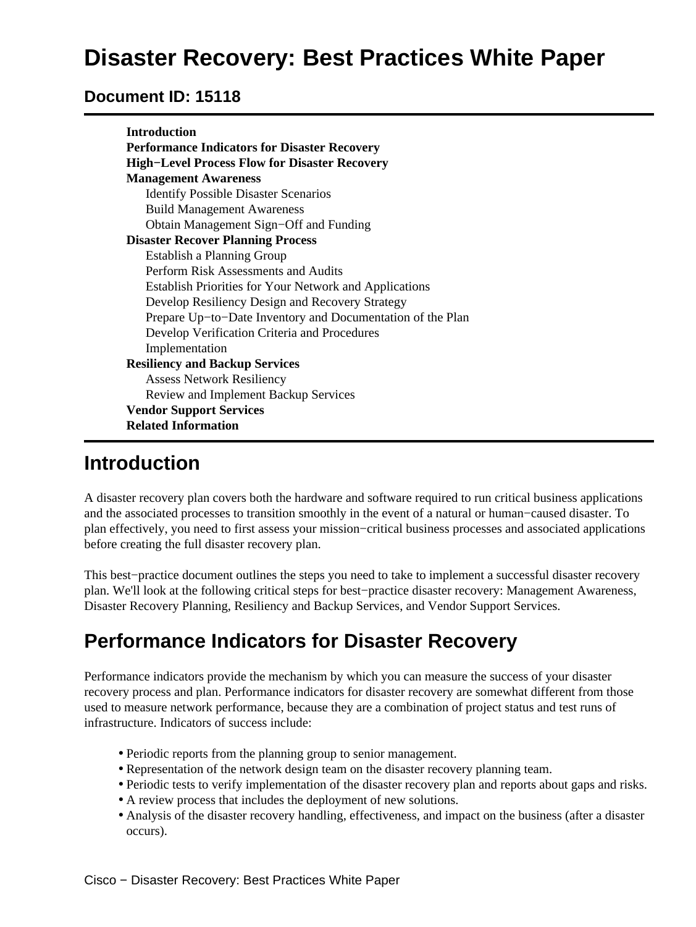# **Disaster Recovery: Best Practices White Paper**

#### **Document ID: 15118**

| <b>Introduction</b>                                           |
|---------------------------------------------------------------|
| <b>Performance Indicators for Disaster Recovery</b>           |
| <b>High-Level Process Flow for Disaster Recovery</b>          |
| <b>Management Awareness</b>                                   |
| <b>Identify Possible Disaster Scenarios</b>                   |
| <b>Build Management Awareness</b>                             |
| Obtain Management Sign-Off and Funding                        |
| <b>Disaster Recover Planning Process</b>                      |
| Establish a Planning Group                                    |
| Perform Risk Assessments and Audits                           |
| <b>Establish Priorities for Your Network and Applications</b> |
| Develop Resiliency Design and Recovery Strategy               |
| Prepare Up-to-Date Inventory and Documentation of the Plan    |
| Develop Verification Criteria and Procedures                  |
| Implementation                                                |
| <b>Resiliency and Backup Services</b>                         |
| <b>Assess Network Resiliency</b>                              |
| Review and Implement Backup Services                          |
| <b>Vendor Support Services</b>                                |
| <b>Related Information</b>                                    |

### **Introduction**

A disaster recovery plan covers both the hardware and software required to run critical business applications and the associated processes to transition smoothly in the event of a natural or human−caused disaster. To plan effectively, you need to first assess your mission−critical business processes and associated applications before creating the full disaster recovery plan.

This best−practice document outlines the steps you need to take to implement a successful disaster recovery plan. We'll look at the following critical steps for best−practice disaster recovery: Management Awareness, Disaster Recovery Planning, Resiliency and Backup Services, and Vendor Support Services.

### **Performance Indicators for Disaster Recovery**

Performance indicators provide the mechanism by which you can measure the success of your disaster recovery process and plan. Performance indicators for disaster recovery are somewhat different from those used to measure network performance, because they are a combination of project status and test runs of infrastructure. Indicators of success include:

- Periodic reports from the planning group to senior management.
- Representation of the network design team on the disaster recovery planning team.
- Periodic tests to verify implementation of the disaster recovery plan and reports about gaps and risks.
- A review process that includes the deployment of new solutions.
- Analysis of the disaster recovery handling, effectiveness, and impact on the business (after a disaster occurs).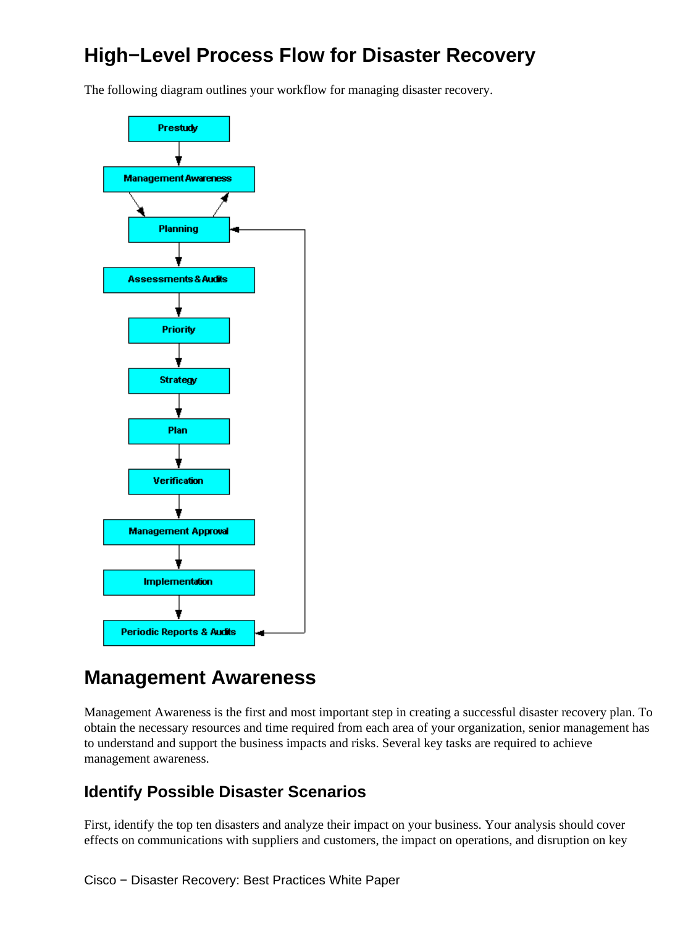## **High−Level Process Flow for Disaster Recovery**

The following diagram outlines your workflow for managing disaster recovery.



### **Management Awareness**

Management Awareness is the first and most important step in creating a successful disaster recovery plan. To obtain the necessary resources and time required from each area of your organization, senior management has to understand and support the business impacts and risks. Several key tasks are required to achieve management awareness.

#### **Identify Possible Disaster Scenarios**

First, identify the top ten disasters and analyze their impact on your business. Your analysis should cover effects on communications with suppliers and customers, the impact on operations, and disruption on key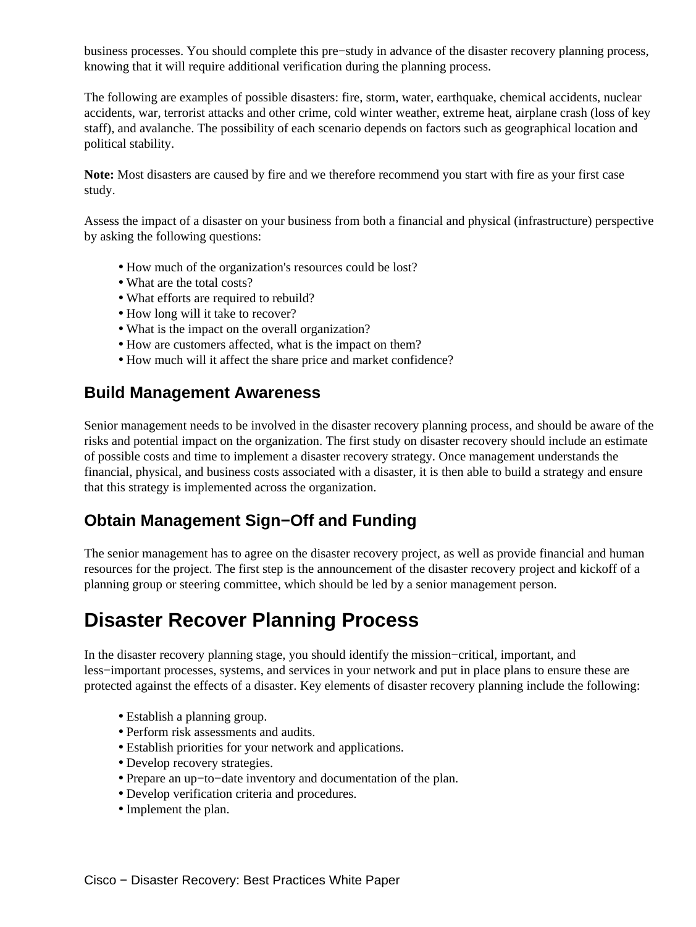business processes. You should complete this pre−study in advance of the disaster recovery planning process, knowing that it will require additional verification during the planning process.

The following are examples of possible disasters: fire, storm, water, earthquake, chemical accidents, nuclear accidents, war, terrorist attacks and other crime, cold winter weather, extreme heat, airplane crash (loss of key staff), and avalanche. The possibility of each scenario depends on factors such as geographical location and political stability.

**Note:** Most disasters are caused by fire and we therefore recommend you start with fire as your first case study.

Assess the impact of a disaster on your business from both a financial and physical (infrastructure) perspective by asking the following questions:

- How much of the organization's resources could be lost?
- What are the total costs?
- What efforts are required to rebuild?
- How long will it take to recover?
- What is the impact on the overall organization?
- How are customers affected, what is the impact on them?
- How much will it affect the share price and market confidence?

#### **Build Management Awareness**

Senior management needs to be involved in the disaster recovery planning process, and should be aware of the risks and potential impact on the organization. The first study on disaster recovery should include an estimate of possible costs and time to implement a disaster recovery strategy. Once management understands the financial, physical, and business costs associated with a disaster, it is then able to build a strategy and ensure that this strategy is implemented across the organization.

#### **Obtain Management Sign−Off and Funding**

The senior management has to agree on the disaster recovery project, as well as provide financial and human resources for the project. The first step is the announcement of the disaster recovery project and kickoff of a planning group or steering committee, which should be led by a senior management person.

## **Disaster Recover Planning Process**

In the disaster recovery planning stage, you should identify the mission−critical, important, and less−important processes, systems, and services in your network and put in place plans to ensure these are protected against the effects of a disaster. Key elements of disaster recovery planning include the following:

- Establish a planning group.
- Perform risk assessments and audits.
- Establish priorities for your network and applications.
- Develop recovery strategies.
- Prepare an up−to−date inventory and documentation of the plan.
- Develop verification criteria and procedures.
- Implement the plan.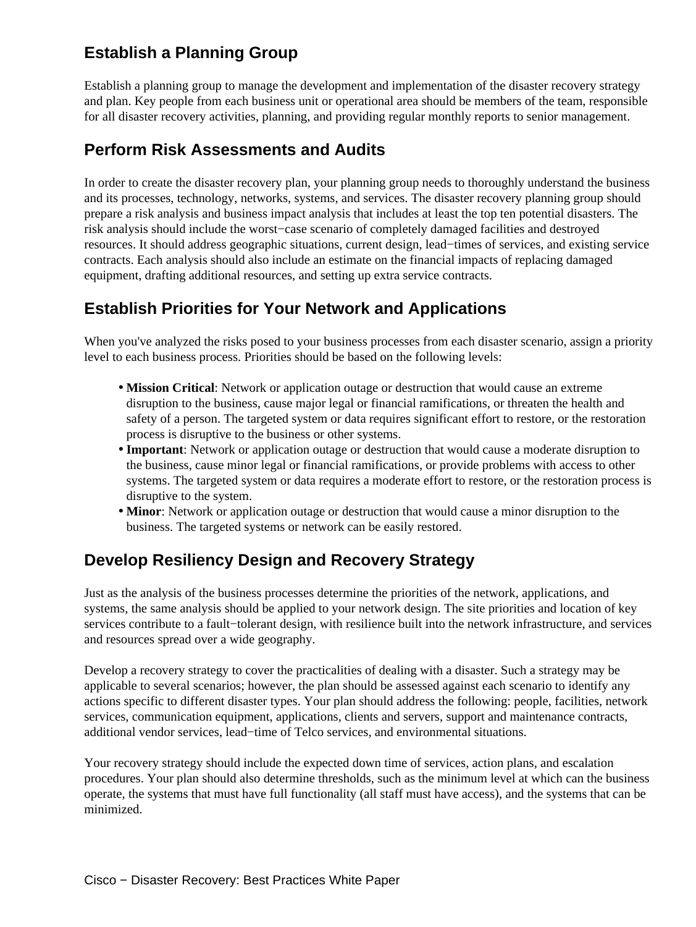### **Establish a Planning Group**

Establish a planning group to manage the development and implementation of the disaster recovery strategy and plan. Key people from each business unit or operational area should be members of the team, responsible for all disaster recovery activities, planning, and providing regular monthly reports to senior management.

#### **Perform Risk Assessments and Audits**

In order to create the disaster recovery plan, your planning group needs to thoroughly understand the business and its processes, technology, networks, systems, and services. The disaster recovery planning group should prepare a risk analysis and business impact analysis that includes at least the top ten potential disasters. The risk analysis should include the worst−case scenario of completely damaged facilities and destroyed resources. It should address geographic situations, current design, lead−times of services, and existing service contracts. Each analysis should also include an estimate on the financial impacts of replacing damaged equipment, drafting additional resources, and setting up extra service contracts.

#### **Establish Priorities for Your Network and Applications**

When you've analyzed the risks posed to your business processes from each disaster scenario, assign a priority level to each business process. Priorities should be based on the following levels:

- Mission Critical: Network or application outage or destruction that would cause an extreme disruption to the business, cause major legal or financial ramifications, or threaten the health and safety of a person. The targeted system or data requires significant effort to restore, or the restoration process is disruptive to the business or other systems.
- **Important**: Network or application outage or destruction that would cause a moderate disruption to the business, cause minor legal or financial ramifications, or provide problems with access to other systems. The targeted system or data requires a moderate effort to restore, or the restoration process is disruptive to the system.
- **Minor**: Network or application outage or destruction that would cause a minor disruption to the business. The targeted systems or network can be easily restored.

#### **Develop Resiliency Design and Recovery Strategy**

Just as the analysis of the business processes determine the priorities of the network, applications, and systems, the same analysis should be applied to your network design. The site priorities and location of key services contribute to a fault−tolerant design, with resilience built into the network infrastructure, and services and resources spread over a wide geography.

Develop a recovery strategy to cover the practicalities of dealing with a disaster. Such a strategy may be applicable to several scenarios; however, the plan should be assessed against each scenario to identify any actions specific to different disaster types. Your plan should address the following: people, facilities, network services, communication equipment, applications, clients and servers, support and maintenance contracts, additional vendor services, lead−time of Telco services, and environmental situations.

Your recovery strategy should include the expected down time of services, action plans, and escalation procedures. Your plan should also determine thresholds, such as the minimum level at which can the business operate, the systems that must have full functionality (all staff must have access), and the systems that can be minimized.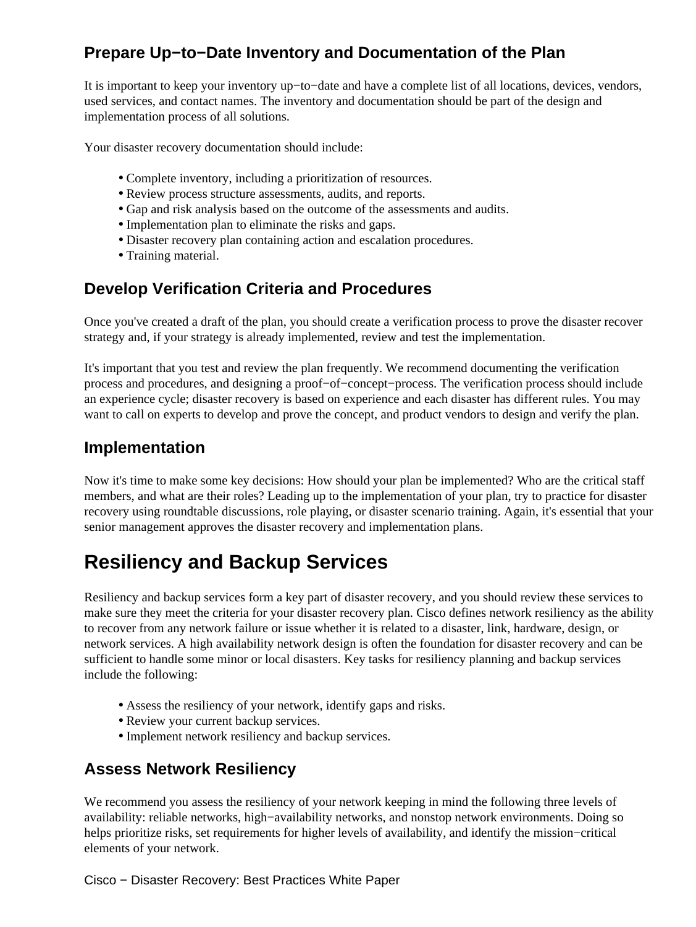### **Prepare Up−to−Date Inventory and Documentation of the Plan**

It is important to keep your inventory up−to−date and have a complete list of all locations, devices, vendors, used services, and contact names. The inventory and documentation should be part of the design and implementation process of all solutions.

Your disaster recovery documentation should include:

- Complete inventory, including a prioritization of resources.
- Review process structure assessments, audits, and reports.
- Gap and risk analysis based on the outcome of the assessments and audits.
- Implementation plan to eliminate the risks and gaps.
- Disaster recovery plan containing action and escalation procedures.
- Training material.

#### **Develop Verification Criteria and Procedures**

Once you've created a draft of the plan, you should create a verification process to prove the disaster recover strategy and, if your strategy is already implemented, review and test the implementation.

It's important that you test and review the plan frequently. We recommend documenting the verification process and procedures, and designing a proof−of−concept−process. The verification process should include an experience cycle; disaster recovery is based on experience and each disaster has different rules. You may want to call on experts to develop and prove the concept, and product vendors to design and verify the plan.

#### **Implementation**

Now it's time to make some key decisions: How should your plan be implemented? Who are the critical staff members, and what are their roles? Leading up to the implementation of your plan, try to practice for disaster recovery using roundtable discussions, role playing, or disaster scenario training. Again, it's essential that your senior management approves the disaster recovery and implementation plans.

## **Resiliency and Backup Services**

Resiliency and backup services form a key part of disaster recovery, and you should review these services to make sure they meet the criteria for your disaster recovery plan. Cisco defines network resiliency as the ability to recover from any network failure or issue whether it is related to a disaster, link, hardware, design, or network services. A high availability network design is often the foundation for disaster recovery and can be sufficient to handle some minor or local disasters. Key tasks for resiliency planning and backup services include the following:

- Assess the resiliency of your network, identify gaps and risks.
- Review your current backup services.
- Implement network resiliency and backup services.

#### **Assess Network Resiliency**

We recommend you assess the resiliency of your network keeping in mind the following three levels of availability: reliable networks, high−availability networks, and nonstop network environments. Doing so helps prioritize risks, set requirements for higher levels of availability, and identify the mission−critical elements of your network.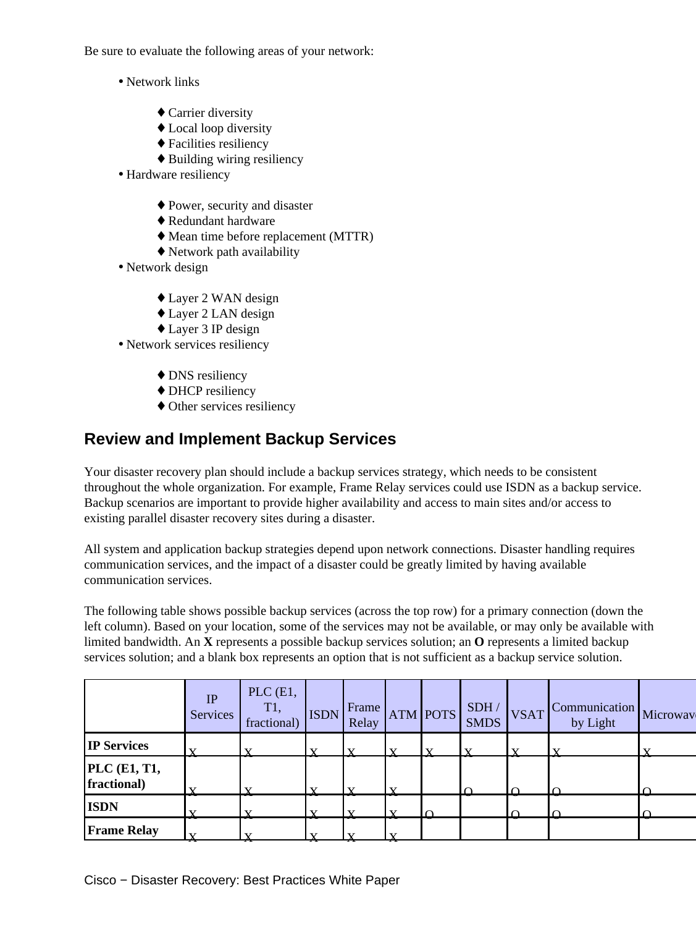Be sure to evaluate the following areas of your network:

- Network links
	- ◆ Carrier diversity
	- ♦ Local loop diversity
	- ♦ Facilities resiliency
	- ♦ Building wiring resiliency
- Hardware resiliency
	- ♦ Power, security and disaster
	- ♦ Redundant hardware
	- ♦ Mean time before replacement (MTTR)
	- ♦ Network path availability
- Network design
	- ♦ Layer 2 WAN design
	- ♦ Layer 2 LAN design
	- ♦ Layer 3 IP design
- Network services resiliency
	- DNS resiliency
	- ◆ DHCP resiliency
	- ♦ Other services resiliency

#### **Review and Implement Backup Services**

Your disaster recovery plan should include a backup services strategy, which needs to be consistent throughout the whole organization. For example, Frame Relay services could use ISDN as a backup service. Backup scenarios are important to provide higher availability and access to main sites and/or access to existing parallel disaster recovery sites during a disaster.

All system and application backup strategies depend upon network connections. Disaster handling requires communication services, and the impact of a disaster could be greatly limited by having available communication services.

The following table shows possible backup services (across the top row) for a primary connection (down the left column). Based on your location, some of the services may not be available, or may only be available with limited bandwidth. An **X** represents a possible backup services solution; an **O** represents a limited backup services solution; and a blank box represents an option that is not sufficient as a backup service solution.

|                             | IP<br>Services                 | $PLC$ $(E1,$<br>T1,<br>fractional) | <b>ISDN</b> | Frame<br>Relay          |                         | <b>ATM POTS</b> | SDH/<br><b>SMDS</b> | <b>VSAT</b>  | Communication<br>by Light | Microwav     |
|-----------------------------|--------------------------------|------------------------------------|-------------|-------------------------|-------------------------|-----------------|---------------------|--------------|---------------------------|--------------|
| <b>IP Services</b>          |                                |                                    | ٦z          | $\overline{\mathbf{v}}$ | $\mathbf{x}$            | $\mathbf{x}$    | $\mathbf{v}$        | $\mathbf{x}$ | $\overline{\mathbf{x}}$   | $\mathbf{v}$ |
| PLC (E1, T1,<br>fractional) |                                |                                    | v           |                         | $\overline{\mathbf{v}}$ |                 |                     |              |                           | $\cap$       |
| <b>ISDN</b>                 |                                |                                    |             |                         | v                       | $\sqrt{ }$      |                     |              |                           | $\Omega$     |
| <b>Frame Relay</b>          | $\overline{\mathbf{x}}$<br>-77 | 73                                 | ٦z<br>77    | v<br>77                 | $\mathbf{v}$<br>-77     |                 |                     |              |                           |              |